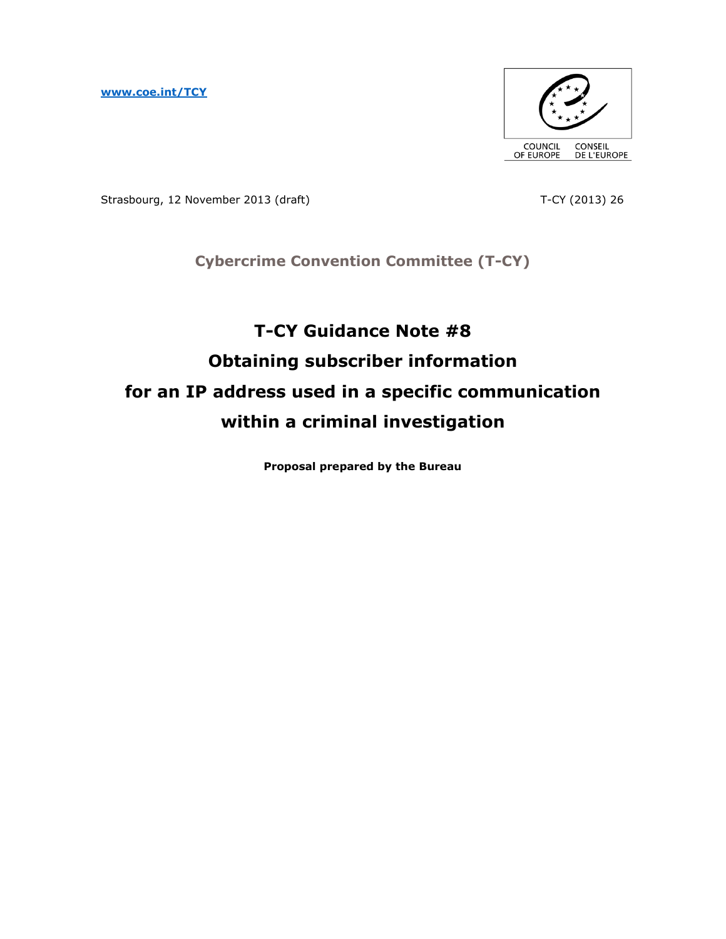**[www.coe.int/TCY](http://www.coe.int/TCY)**



Strasbourg, 12 November 2013 (draft) T-CY (2013) 26

**Cybercrime Convention Committee (T-CY)**

# **T-CY Guidance Note #8 Obtaining subscriber information for an IP address used in a specific communication within a criminal investigation**

**Proposal prepared by the Bureau**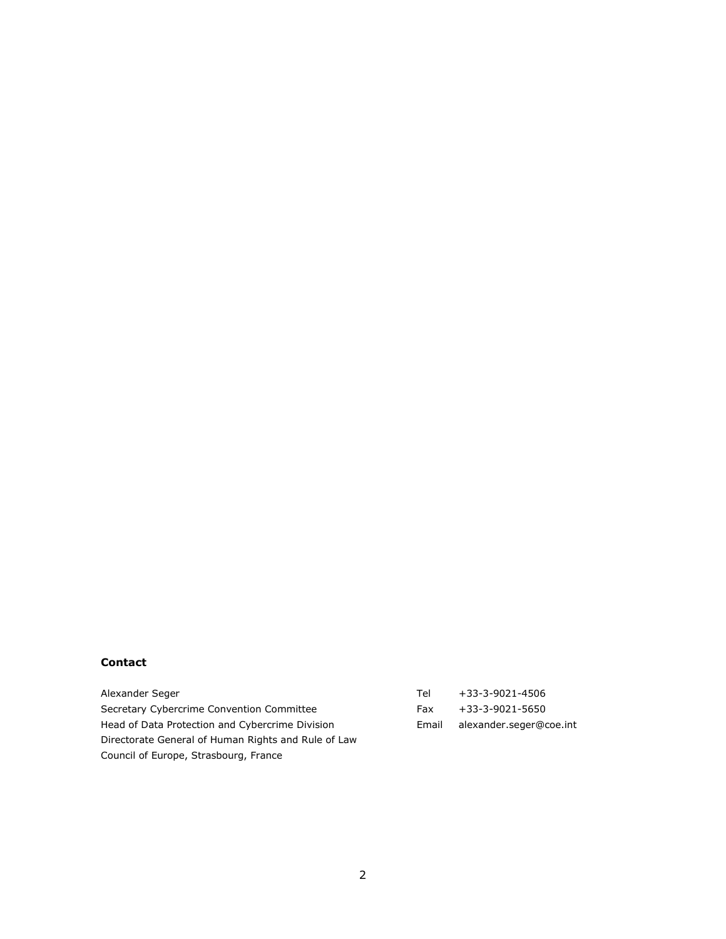## **Contact**

| Alexander Seger                                     | Tel |
|-----------------------------------------------------|-----|
| Secretary Cybercrime Convention Committee           | Fax |
| Head of Data Protection and Cybercrime Division     | Ema |
| Directorate General of Human Rights and Rule of Law |     |
| Council of Europe, Strasbourg, France               |     |

| Tel   | $+33-3-9021-4506$       |
|-------|-------------------------|
| Fax   | $+33-3-9021-5650$       |
| Email | alexander.seger@coe.int |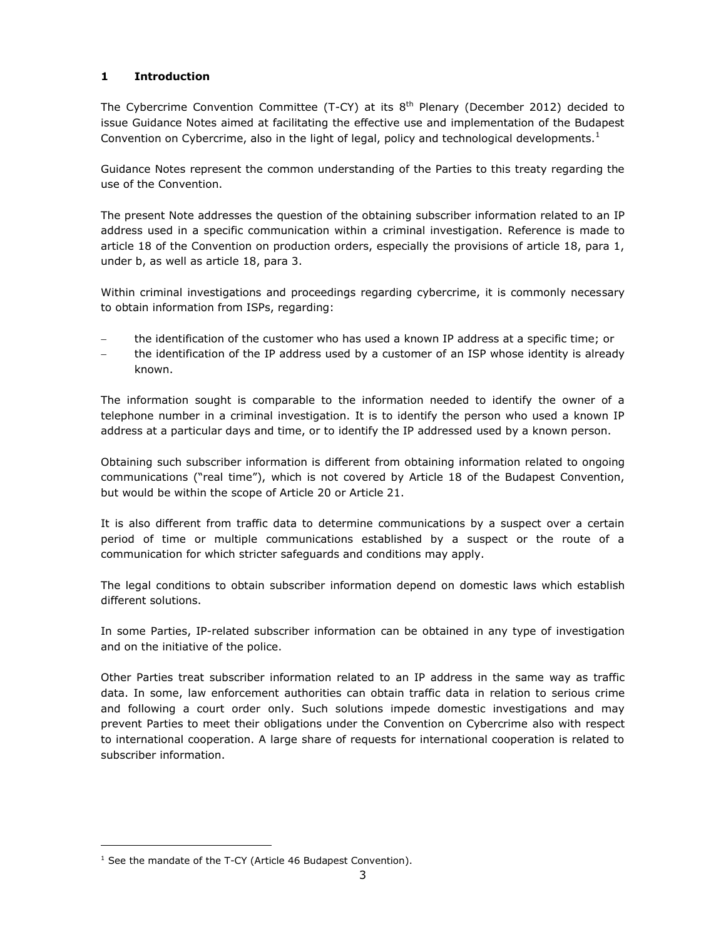## **1 Introduction**

The Cybercrime Convention Committee (T-CY) at its  $8<sup>th</sup>$  Plenary (December 2012) decided to issue Guidance Notes aimed at facilitating the effective use and implementation of the Budapest Convention on Cybercrime, also in the light of legal, policy and technological developments.<sup>1</sup>

Guidance Notes represent the common understanding of the Parties to this treaty regarding the use of the Convention.

The present Note addresses the question of the obtaining subscriber information related to an IP address used in a specific communication within a criminal investigation. Reference is made to article 18 of the Convention on production orders, especially the provisions of article 18, para 1, under b, as well as article 18, para 3.

Within criminal investigations and proceedings regarding cybercrime, it is commonly necessary to obtain information from ISPs, regarding:

- the identification of the customer who has used a known IP address at a specific time; or
- the identification of the IP address used by a customer of an ISP whose identity is already known.

The information sought is comparable to the information needed to identify the owner of a telephone number in a criminal investigation. It is to identify the person who used a known IP address at a particular days and time, or to identify the IP addressed used by a known person.

Obtaining such subscriber information is different from obtaining information related to ongoing communications ("real time"), which is not covered by Article 18 of the Budapest Convention, but would be within the scope of Article 20 or Article 21.

It is also different from traffic data to determine communications by a suspect over a certain period of time or multiple communications established by a suspect or the route of a communication for which stricter safeguards and conditions may apply.

The legal conditions to obtain subscriber information depend on domestic laws which establish different solutions.

In some Parties, IP-related subscriber information can be obtained in any type of investigation and on the initiative of the police.

Other Parties treat subscriber information related to an IP address in the same way as traffic data. In some, law enforcement authorities can obtain traffic data in relation to serious crime and following a court order only. Such solutions impede domestic investigations and may prevent Parties to meet their obligations under the Convention on Cybercrime also with respect to international cooperation. A large share of requests for international cooperation is related to subscriber information.

ı

 $1$  See the mandate of the T-CY (Article 46 Budapest Convention).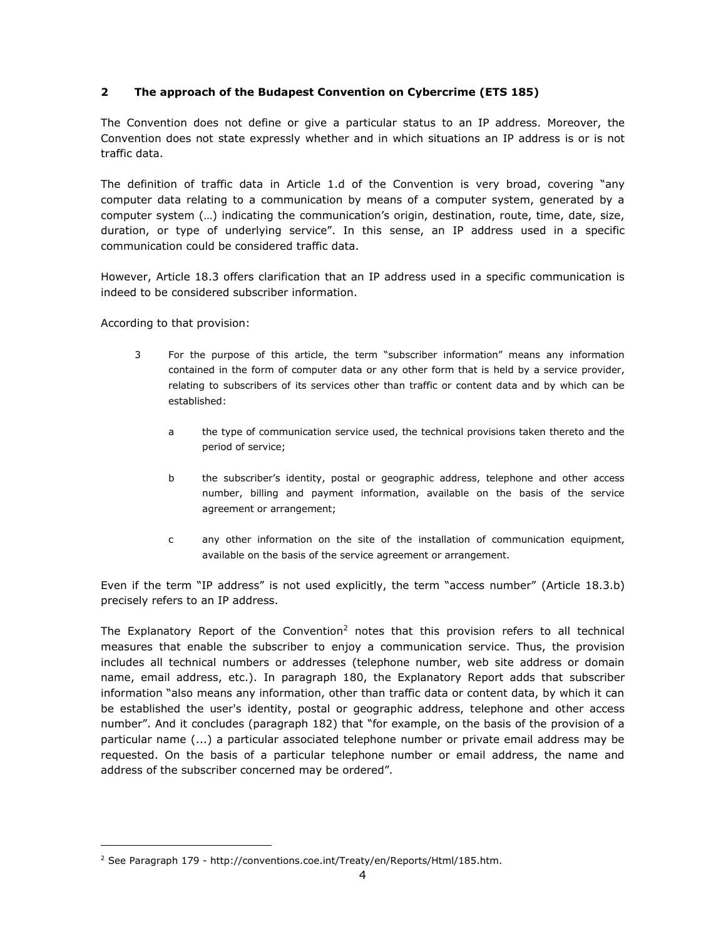## **2 The approach of the Budapest Convention on Cybercrime (ETS 185)**

The Convention does not define or give a particular status to an IP address. Moreover, the Convention does not state expressly whether and in which situations an IP address is or is not traffic data.

The definition of traffic data in Article 1.d of the Convention is very broad, covering "any computer data relating to a communication by means of a computer system, generated by a computer system (...) indicating the communication's origin, destination, route, time, date, size, duration, or type of underlying service". In this sense, an IP address used in a specific communication could be considered traffic data.

However, Article 18.3 offers clarification that an IP address used in a specific communication is indeed to be considered subscriber information.

According to that provision:

ı

- 3 For the purpose of this article, the term "subscriber information" means any information contained in the form of computer data or any other form that is held by a service provider, relating to subscribers of its services other than traffic or content data and by which can be established:
	- a the type of communication service used, the technical provisions taken thereto and the period of service;
	- b the subscriber's identity, postal or geographic address, telephone and other access number, billing and payment information, available on the basis of the service agreement or arrangement;
	- c any other information on the site of the installation of communication equipment, available on the basis of the service agreement or arrangement.

Even if the term "IP address" is not used explicitly, the term "access number" (Article 18.3.b) precisely refers to an IP address.

The Explanatory Report of the Convention<sup>2</sup> notes that this provision refers to all technical measures that enable the subscriber to enjoy a communication service. Thus, the provision includes all technical numbers or addresses (telephone number, web site address or domain name, email address, etc.). In paragraph 180, the Explanatory Report adds that subscriber information "also means any information, other than traffic data or content data, by which it can be established the user's identity, postal or geographic address, telephone and other access number". And it concludes (paragraph 182) that "for example, on the basis of the provision of a particular name (...) a particular associated telephone number or private email address may be requested. On the basis of a particular telephone number or email address, the name and address of the subscriber concerned may be ordered".

<sup>&</sup>lt;sup>2</sup> See Paragraph 179 - http://conventions.coe.int/Treaty/en/Reports/Html/185.htm.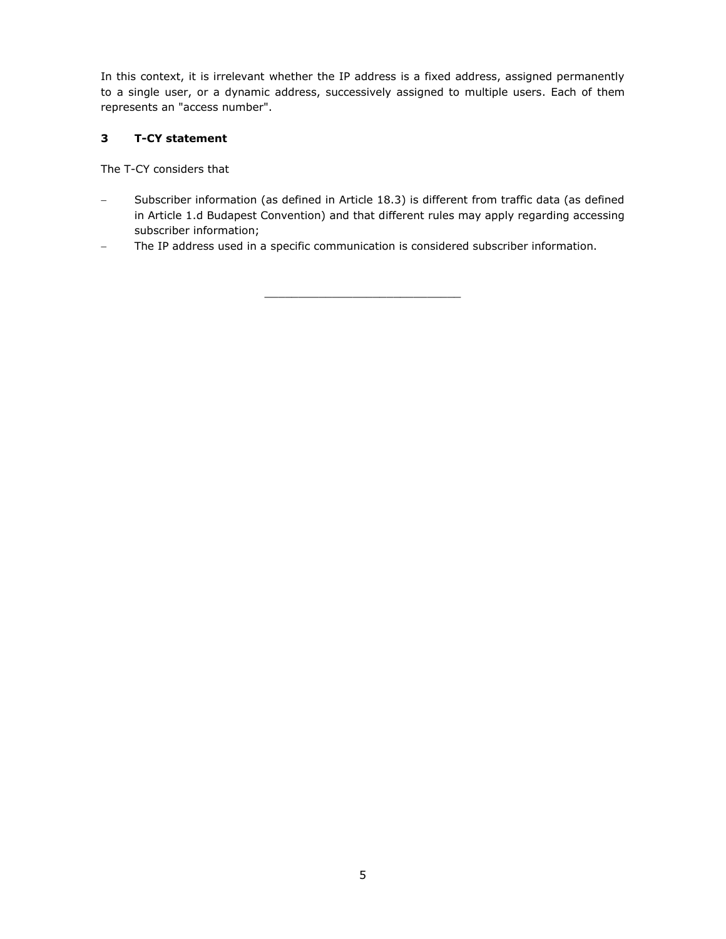In this context, it is irrelevant whether the IP address is a fixed address, assigned permanently to a single user, or a dynamic address, successively assigned to multiple users. Each of them represents an "access number".

## **3 T-CY statement**

The T-CY considers that

- Subscriber information (as defined in Article 18.3) is different from traffic data (as defined in Article 1.d Budapest Convention) and that different rules may apply regarding accessing subscriber information;
- The IP address used in a specific communication is considered subscriber information.

\_\_\_\_\_\_\_\_\_\_\_\_\_\_\_\_\_\_\_\_\_\_\_\_\_\_\_\_\_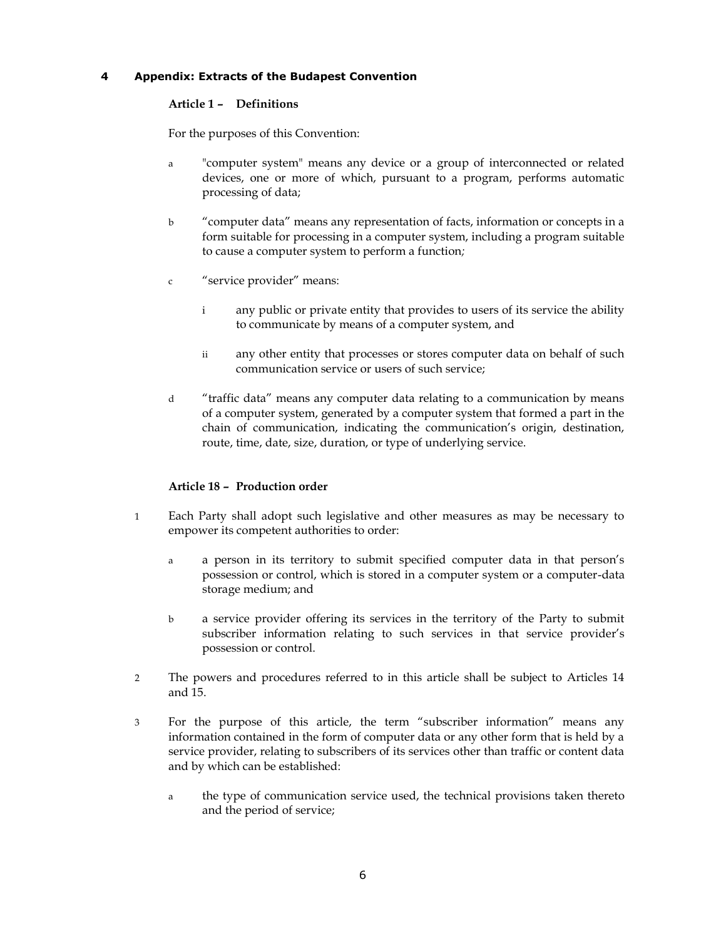#### **4 Appendix: Extracts of the Budapest Convention**

#### **Article 1 ² Definitions**

For the purposes of this Convention:

- a "computer system" means any device or a group of interconnected or related devices, one or more of which, pursuant to a program, performs automatic processing of data;
- b "computer data" means any representation of facts, information or concepts in a form suitable for processing in a computer system, including a program suitable to cause a computer system to perform a function*;*
- c "service provider" means:
	- i any public or private entity that provides to users of its service the ability to communicate by means of a computer system, and
	- ii any other entity that processes or stores computer data on behalf of such communication service or users of such service;
- d "traffic data" means any computer data relating to a communication by means of a computer system, generated by a computer system that formed a part in the chain of communication, indicating the communication's origin, destination, route, time, date, size, duration, or type of underlying service.

## **Article 18 ² Production order**

- 1 Each Party shall adopt such legislative and other measures as may be necessary to empower its competent authorities to order:
	- a a person in its territory to submit specified computer data in that person's possession or control, which is stored in a computer system or a computer-data storage medium; and
	- b a service provider offering its services in the territory of the Party to submit subscriber information relating to such services in that service provider's possession or control.
- 2 The powers and procedures referred to in this article shall be subject to Articles 14 and 15.
- 3 For the purpose of this article, the term "subscriber information" means any information contained in the form of computer data or any other form that is held by a service provider, relating to subscribers of its services other than traffic or content data and by which can be established:
	- a the type of communication service used, the technical provisions taken thereto and the period of service;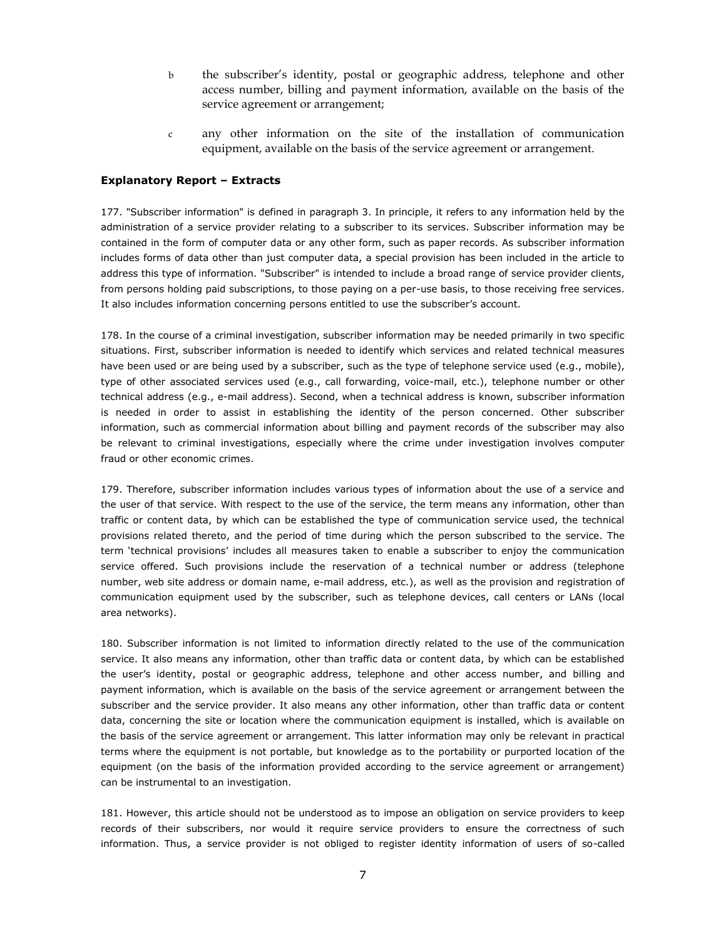- b the subscriber's identity, postal or geographic address, telephone and other access number, billing and payment information, available on the basis of the service agreement or arrangement;
- c any other information on the site of the installation of communication equipment, available on the basis of the service agreement or arrangement.

#### **Explanatory Report - Extracts**

177. "Subscriber information" is defined in paragraph 3. In principle, it refers to any information held by the administration of a service provider relating to a subscriber to its services. Subscriber information may be contained in the form of computer data or any other form, such as paper records. As subscriber information includes forms of data other than just computer data, a special provision has been included in the article to address this type of information. "Subscriber" is intended to include a broad range of service provider clients, from persons holding paid subscriptions, to those paying on a per-use basis, to those receiving free services. It also includes information concerning persons entitled to use the subscriber's account.

178. In the course of a criminal investigation, subscriber information may be needed primarily in two specific situations. First, subscriber information is needed to identify which services and related technical measures have been used or are being used by a subscriber, such as the type of telephone service used (e.g., mobile), type of other associated services used (e.g., call forwarding, voice-mail, etc.), telephone number or other technical address (e.g., e-mail address). Second, when a technical address is known, subscriber information is needed in order to assist in establishing the identity of the person concerned. Other subscriber information, such as commercial information about billing and payment records of the subscriber may also be relevant to criminal investigations, especially where the crime under investigation involves computer fraud or other economic crimes.

179. Therefore, subscriber information includes various types of information about the use of a service and the user of that service. With respect to the use of the service, the term means any information, other than traffic or content data, by which can be established the type of communication service used, the technical provisions related thereto, and the period of time during which the person subscribed to the service. The term 'technical provisions' includes all measures taken to enable a subscriber to enjoy the communication service offered. Such provisions include the reservation of a technical number or address (telephone number, web site address or domain name, e-mail address, etc.), as well as the provision and registration of communication equipment used by the subscriber, such as telephone devices, call centers or LANs (local area networks).

180. Subscriber information is not limited to information directly related to the use of the communication service. It also means any information, other than traffic data or content data, by which can be established the user's identity, postal or geographic address, telephone and other access number, and billing and payment information, which is available on the basis of the service agreement or arrangement between the subscriber and the service provider. It also means any other information, other than traffic data or content data, concerning the site or location where the communication equipment is installed, which is available on the basis of the service agreement or arrangement. This latter information may only be relevant in practical terms where the equipment is not portable, but knowledge as to the portability or purported location of the equipment (on the basis of the information provided according to the service agreement or arrangement) can be instrumental to an investigation.

181. However, this article should not be understood as to impose an obligation on service providers to keep records of their subscribers, nor would it require service providers to ensure the correctness of such information. Thus, a service provider is not obliged to register identity information of users of so-called